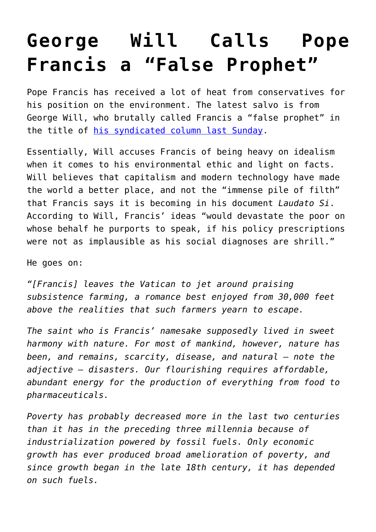## **[George Will Calls Pope](https://intellectualtakeout.org/2015/09/george-will-calls-pope-francis-a-false-prophet/) [Francis a "False Prophet"](https://intellectualtakeout.org/2015/09/george-will-calls-pope-francis-a-false-prophet/)**

Pope Francis has received a lot of heat from conservatives for his position on the environment. The latest salvo is from George Will, who brutally called Francis a "false prophet" in the title of [his syndicated column last Sunday](http://www.newsmax.com/GeorgeWill/pope-francis-catholic/2015/09/20/id/692423/).

Essentially, Will accuses Francis of being heavy on idealism when it comes to his environmental ethic and light on facts. Will believes that capitalism and modern technology have made the world a better place, and not the "immense pile of filth" that Francis says it is becoming in his document *Laudato Si*. According to Will, Francis' ideas "would devastate the poor on whose behalf he purports to speak, if his policy prescriptions were not as implausible as his social diagnoses are shrill."

He goes on:

*"[Francis] leaves the Vatican to jet around praising subsistence farming, a romance best enjoyed from 30,000 feet above the realities that such farmers yearn to escape.*

*The saint who is Francis' namesake supposedly lived in sweet harmony with nature. For most of mankind, however, nature has been, and remains, scarcity, disease, and natural — note the adjective — disasters. Our flourishing requires affordable, abundant energy for the production of everything from food to pharmaceuticals.* 

*Poverty has probably decreased more in the last two centuries than it has in the preceding three millennia because of industrialization powered by fossil fuels. Only economic growth has ever produced broad amelioration of poverty, and since growth began in the late 18th century, it has depended on such fuels.*